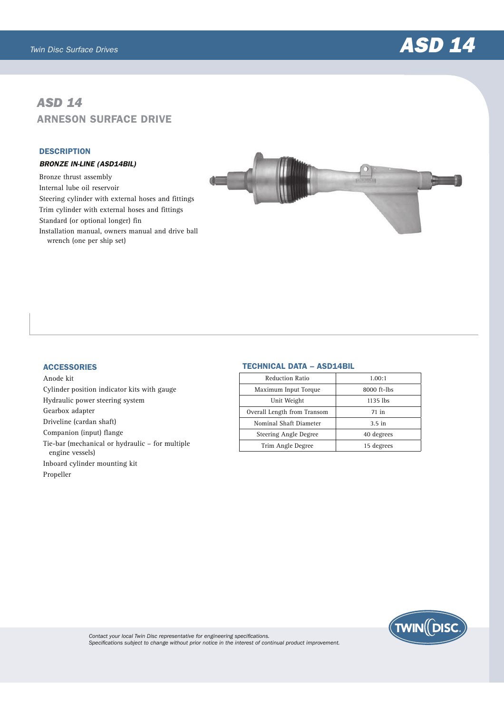

# *ASD 14* ARNESON SURFACE DRIVE

#### **DESCRIPTION**

## BRONZE IN-LINE (ASD14BIL)

Bronze thrust assembly Internal lube oil reservoir Steering cylinder with external hoses and fittings Trim cylinder with external hoses and fittings Standard (or optional longer) fin Installation manual, owners manual and drive ball wrench (one per ship set)



## **ACCESSORIES**

Anode kit Cylinder position indicator kits with gauge Hydraulic power steering system Gearbox adapter Driveline (cardan shaft) Companion (input) flange Tie-bar (mechanical or hydraulic – for multiple engine vessels) Inboard cylinder mounting kit Propeller

## TECHNICAL DATA – ASD14BIL

| <b>Reduction Ratio</b>      | 1.00:1      |
|-----------------------------|-------------|
| Maximum Input Torque        | 8000 ft-lbs |
| Unit Weight                 | $1135$ lbs  |
| Overall Length from Transom | 71 in       |
| Nominal Shaft Diameter      | $3.5$ in    |
| Steering Angle Degree       | 40 degrees  |
| Trim Angle Degree           | 15 degrees  |
|                             |             |



*Contact your local Twin Disc representative for engineering specifications. Specifications subject to change without prior notice in the interest of continual product improvement.*